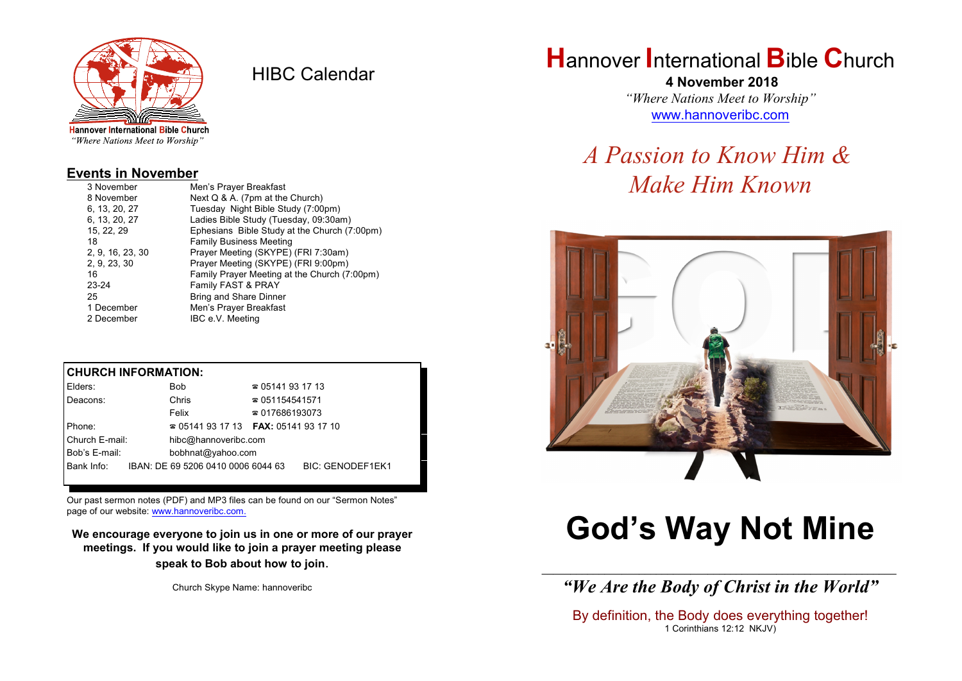

HIBC Calendar

"Where Nations Meet to Worship"

#### **Events in November**

| 3 November       | Men's Prayer Breakfast                       |  |  |
|------------------|----------------------------------------------|--|--|
| 8 November       | Next Q & A. (7pm at the Church)              |  |  |
| 6, 13, 20, 27    | Tuesday Night Bible Study (7:00pm)           |  |  |
| 6, 13, 20, 27    | Ladies Bible Study (Tuesday, 09:30am)        |  |  |
| 15, 22, 29       | Ephesians Bible Study at the Church (7:00pm) |  |  |
| 18               | <b>Family Business Meeting</b>               |  |  |
| 2, 9, 16, 23, 30 | Prayer Meeting (SKYPE) (FRI 7:30am)          |  |  |
| 2, 9, 23, 30     | Prayer Meeting (SKYPE) (FRI 9:00pm)          |  |  |
| 16               | Family Prayer Meeting at the Church (7:00pm) |  |  |
| 23-24            | Family FAST & PRAY                           |  |  |
| 25               | Bring and Share Dinner                       |  |  |
| 1 December       | Men's Prayer Breakfast                       |  |  |
| 2 December       | IBC e.V. Meeting                             |  |  |

#### **CHURCH INFORMATION:**

| Elders:        | <b>Bob</b>                                    | $\approx 05141931713$                    |                         |  |
|----------------|-----------------------------------------------|------------------------------------------|-------------------------|--|
| Deacons:       | Chris                                         | $\approx 051154541571$                   |                         |  |
|                | Felix                                         | $\approx 017686193073$                   |                         |  |
| Phone:         |                                               | $\approx 05141931713$ FAX: 0514193 17 10 |                         |  |
| Church E-mail: | hibc@hannoveribc.com                          |                                          |                         |  |
| Bob's E-mail:  | bobhnat@yahoo.com                             |                                          |                         |  |
|                | Bank Info: IBAN: DE 69 5206 0410 0006 6044 63 |                                          | <b>BIC: GENODEF1EK1</b> |  |
|                |                                               |                                          |                         |  |

Our past sermon notes (PDF) and MP3 files can be found on our "Sermon Notes" page of our website: [www.hannoveribc.com.](http://www.hannoveribc.com.)

**We encourage everyone to join us in one or more of our prayer meetings. If you would like to join a prayer meeting please speak to Bob about how to join**.

Church Skype Name: hannoveribc

# **H**annover **I**nternational **B**ible **C**hurch

 **4 November 2018** *"Where Nations Meet to Worship"* [www.hannoveribc.com](http://www.hannoveribc.com)

# *A Passion to Know Him & Make Him Known*



# **God's Way Not Mine**

\_\_\_\_\_\_\_\_\_\_\_\_\_\_\_\_\_\_\_\_\_\_\_\_\_\_\_\_\_\_\_\_\_\_\_\_\_\_\_\_\_\_\_\_\_\_\_\_\_\_\_\_\_\_\_\_\_\_\_\_\_\_ *"We Are the Body of Christ in the World"*

By definition, the Body does everything together! 1 Corinthians 12:12 NKJV)